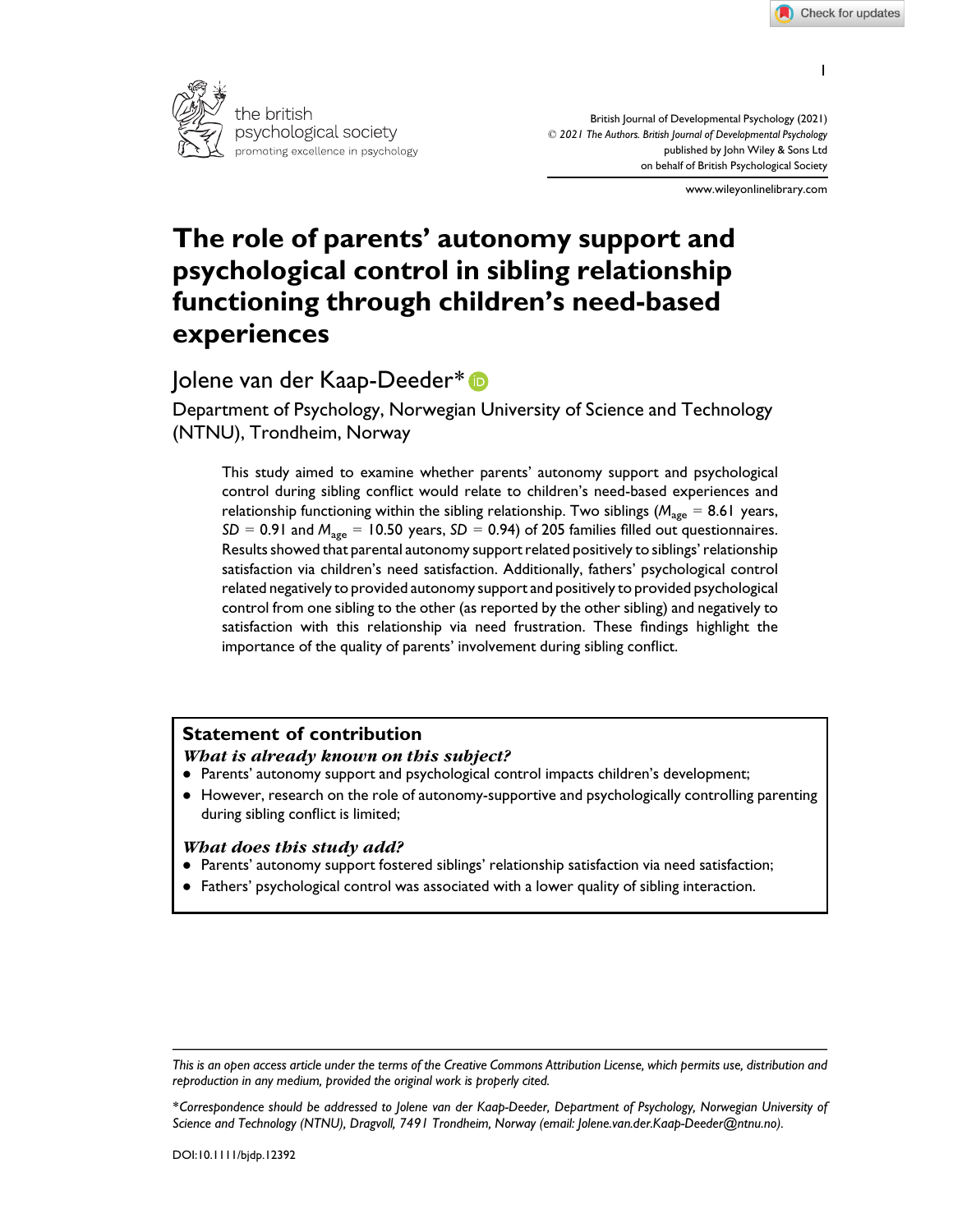



British Journal of Developmental Psychology (2021) © 2021 The Authors. British Journal of Developmental Psychology published by John Wiley & Sons Ltd on behalf of British Psychological Society

www.wileyonlinelibrary.com

# The role of parents' autonomy support and psychological control in sibling relationship functioning through children's need-based experiences

## Jolene van der Kaap-Deeder\* D

Department of Psychology, Norwegian University of Science and Technology (NTNU), Trondheim, Norway

This study aimed to examine whether parents' autonomy support and psychological control during sibling conflict would relate to children's need-based experiences and relationship functioning within the sibling relationship. Two siblings ( $M_{\text{age}} = 8.61$  years,  $SD = 0.91$  and  $M<sub>age</sub> = 10.50$  years,  $SD = 0.94$ ) of 205 families filled out questionnaires. Results showed that parental autonomy support related positively to siblings' relationship satisfaction via children's need satisfaction. Additionally, fathers' psychological control related negatively to provided autonomy support and positively to provided psychological control from one sibling to the other (as reported by the other sibling) and negatively to satisfaction with this relationship via need frustration. These findings highlight the importance of the quality of parents' involvement during sibling conflict.

## Statement of contribution

#### What is already known on this subject?

- ! Parents' autonomy support and psychological control impacts children's development;
- ! However, research on the role of autonomy-supportive and psychologically controlling parenting during sibling conflict is limited;

#### What does this study add?

- ! Parents' autonomy support fostered siblings' relationship satisfaction via need satisfaction;
- ! Fathers' psychological control was associated with a lower quality of sibling interaction.

1

This is an open access article under the terms of the Creative Commons Attribution License, which permits use, distribution and reproduction in any medium, provided the original work is properly cited.

<sup>\*</sup>Correspondence should be addressed to Jolene van der Kaap-Deeder, Department of Psychology, Norwegian University of Science and Technology (NTNU), Dragvoll, 7491 Trondheim, Norway (email: Jolene.van.der.Kaap-Deeder@ntnu.no).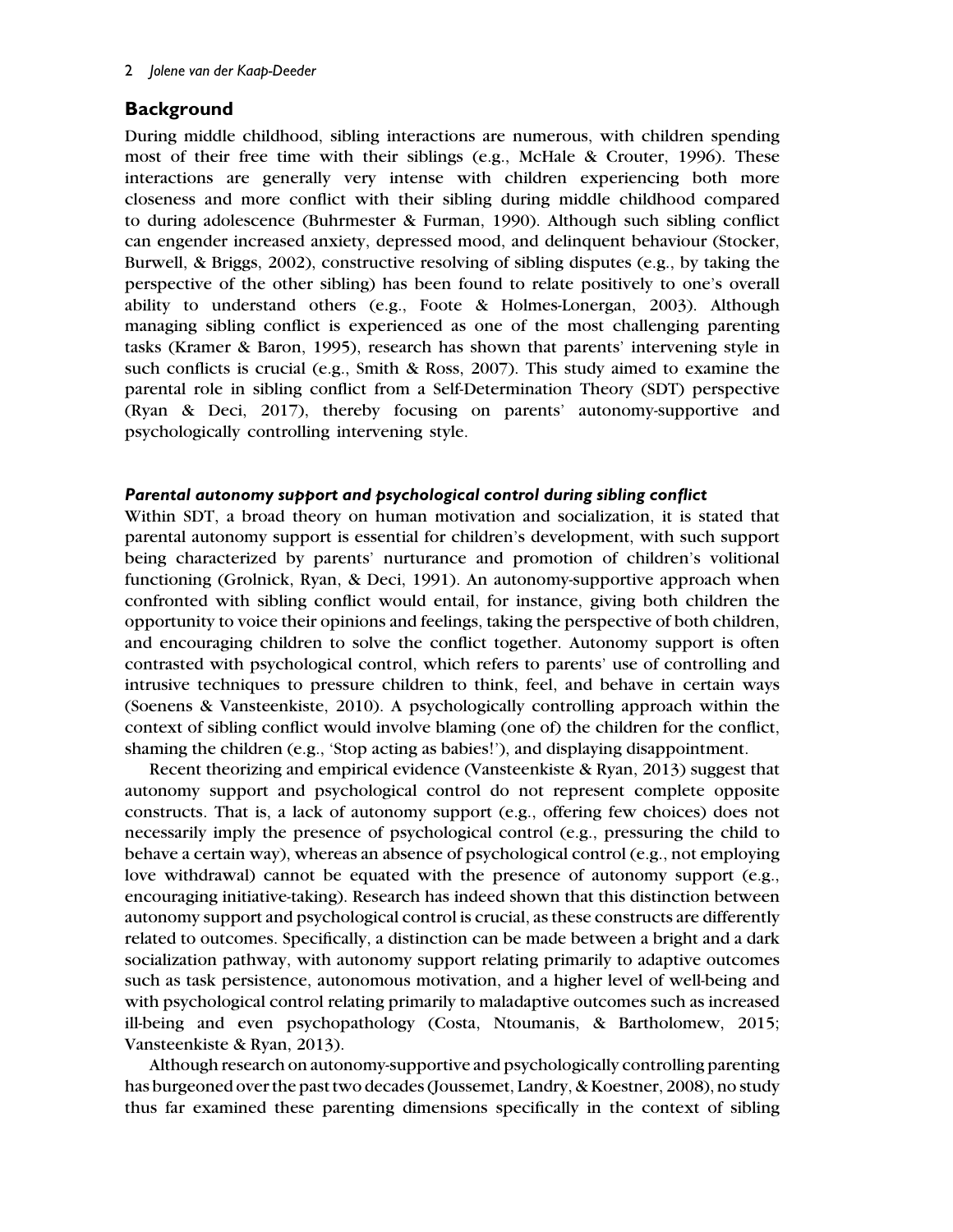## **Background**

During middle childhood, sibling interactions are numerous, with children spending most of their free time with their siblings (e.g., McHale & Crouter, 1996). These interactions are generally very intense with children experiencing both more closeness and more conflict with their sibling during middle childhood compared to during adolescence (Buhrmester & Furman, 1990). Although such sibling conflict can engender increased anxiety, depressed mood, and delinquent behaviour (Stocker, Burwell, & Briggs, 2002), constructive resolving of sibling disputes (e.g., by taking the perspective of the other sibling) has been found to relate positively to one's overall ability to understand others (e.g., Foote & Holmes-Lonergan, 2003). Although managing sibling conflict is experienced as one of the most challenging parenting tasks (Kramer & Baron, 1995), research has shown that parents' intervening style in such conflicts is crucial (e.g., Smith & Ross, 2007). This study aimed to examine the parental role in sibling conflict from a Self-Determination Theory (SDT) perspective (Ryan & Deci, 2017), thereby focusing on parents' autonomy-supportive and psychologically controlling intervening style.

## Parental autonomy support and psychological control during sibling conflict

Within SDT, a broad theory on human motivation and socialization, it is stated that parental autonomy support is essential for children's development, with such support being characterized by parents' nurturance and promotion of children's volitional functioning (Grolnick, Ryan, & Deci, 1991). An autonomy-supportive approach when confronted with sibling conflict would entail, for instance, giving both children the opportunity to voice their opinions and feelings, taking the perspective of both children, and encouraging children to solve the conflict together. Autonomy support is often contrasted with psychological control, which refers to parents' use of controlling and intrusive techniques to pressure children to think, feel, and behave in certain ways (Soenens & Vansteenkiste, 2010). A psychologically controlling approach within the context of sibling conflict would involve blaming (one of) the children for the conflict, shaming the children (e.g., 'Stop acting as babies!'), and displaying disappointment.

Recent theorizing and empirical evidence (Vansteenkiste & Ryan, 2013) suggest that autonomy support and psychological control do not represent complete opposite constructs. That is, a lack of autonomy support (e.g., offering few choices) does not necessarily imply the presence of psychological control (e.g., pressuring the child to behave a certain way), whereas an absence of psychological control (e.g., not employing love withdrawal) cannot be equated with the presence of autonomy support (e.g., encouraging initiative-taking). Research has indeed shown that this distinction between autonomy support and psychological control is crucial, as these constructs are differently related to outcomes. Specifically, a distinction can be made between a bright and a dark socialization pathway, with autonomy support relating primarily to adaptive outcomes such as task persistence, autonomous motivation, and a higher level of well-being and with psychological control relating primarily to maladaptive outcomes such as increased ill-being and even psychopathology (Costa, Ntoumanis, & Bartholomew, 2015; Vansteenkiste & Ryan, 2013).

Although research on autonomy-supportive and psychologically controlling parenting has burgeoned over the past two decades (Joussemet, Landry, & Koestner, 2008), no study thus far examined these parenting dimensions specifically in the context of sibling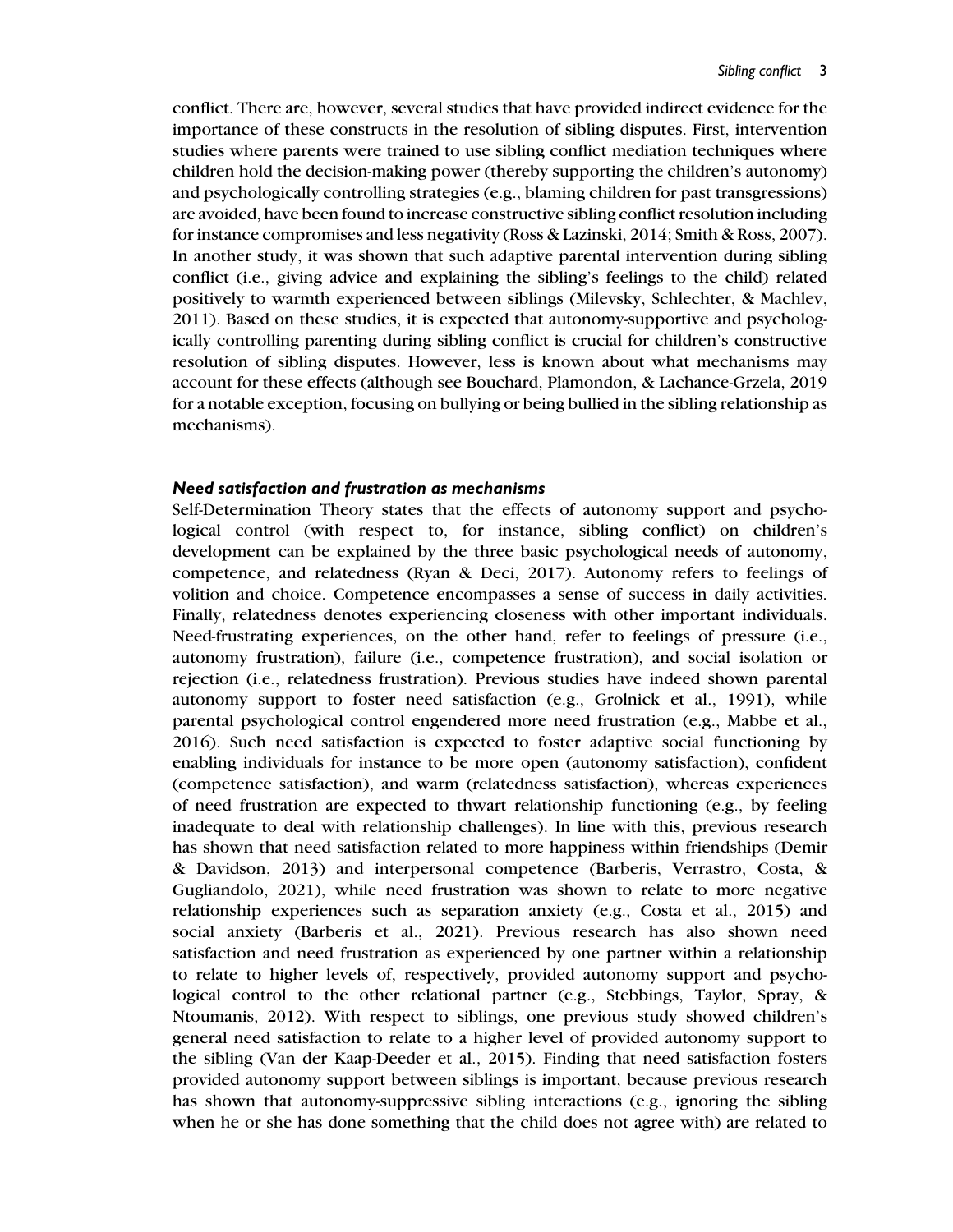conflict. There are, however, several studies that have provided indirect evidence for the importance of these constructs in the resolution of sibling disputes. First, intervention studies where parents were trained to use sibling conflict mediation techniques where children hold the decision-making power (thereby supporting the children's autonomy) and psychologically controlling strategies (e.g., blaming children for past transgressions) are avoided, have been found to increase constructive sibling conflict resolution including for instance compromises and less negativity (Ross & Lazinski, 2014; Smith & Ross, 2007). In another study, it was shown that such adaptive parental intervention during sibling conflict (i.e., giving advice and explaining the sibling's feelings to the child) related positively to warmth experienced between siblings (Milevsky, Schlechter, & Machlev, 2011). Based on these studies, it is expected that autonomy-supportive and psychologically controlling parenting during sibling conflict is crucial for children's constructive resolution of sibling disputes. However, less is known about what mechanisms may account for these effects (although see Bouchard, Plamondon, & Lachance-Grzela, 2019 for a notable exception, focusing on bullying or being bullied in the sibling relationship as mechanisms).

#### Need satisfaction and frustration as mechanisms

Self-Determination Theory states that the effects of autonomy support and psychological control (with respect to, for instance, sibling conflict) on children's development can be explained by the three basic psychological needs of autonomy, competence, and relatedness (Ryan & Deci, 2017). Autonomy refers to feelings of volition and choice. Competence encompasses a sense of success in daily activities. Finally, relatedness denotes experiencing closeness with other important individuals. Need-frustrating experiences, on the other hand, refer to feelings of pressure (i.e., autonomy frustration), failure (i.e., competence frustration), and social isolation or rejection (i.e., relatedness frustration). Previous studies have indeed shown parental autonomy support to foster need satisfaction (e.g., Grolnick et al., 1991), while parental psychological control engendered more need frustration (e.g., Mabbe et al., 2016). Such need satisfaction is expected to foster adaptive social functioning by enabling individuals for instance to be more open (autonomy satisfaction), confident (competence satisfaction), and warm (relatedness satisfaction), whereas experiences of need frustration are expected to thwart relationship functioning (e.g., by feeling inadequate to deal with relationship challenges). In line with this, previous research has shown that need satisfaction related to more happiness within friendships (Demir & Davidson, 2013) and interpersonal competence (Barberis, Verrastro, Costa, & Gugliandolo, 2021), while need frustration was shown to relate to more negative relationship experiences such as separation anxiety (e.g., Costa et al., 2015) and social anxiety (Barberis et al., 2021). Previous research has also shown need satisfaction and need frustration as experienced by one partner within a relationship to relate to higher levels of, respectively, provided autonomy support and psychological control to the other relational partner (e.g., Stebbings, Taylor, Spray, & Ntoumanis, 2012). With respect to siblings, one previous study showed children's general need satisfaction to relate to a higher level of provided autonomy support to the sibling (Van der Kaap-Deeder et al., 2015). Finding that need satisfaction fosters provided autonomy support between siblings is important, because previous research has shown that autonomy-suppressive sibling interactions (e.g., ignoring the sibling when he or she has done something that the child does not agree with) are related to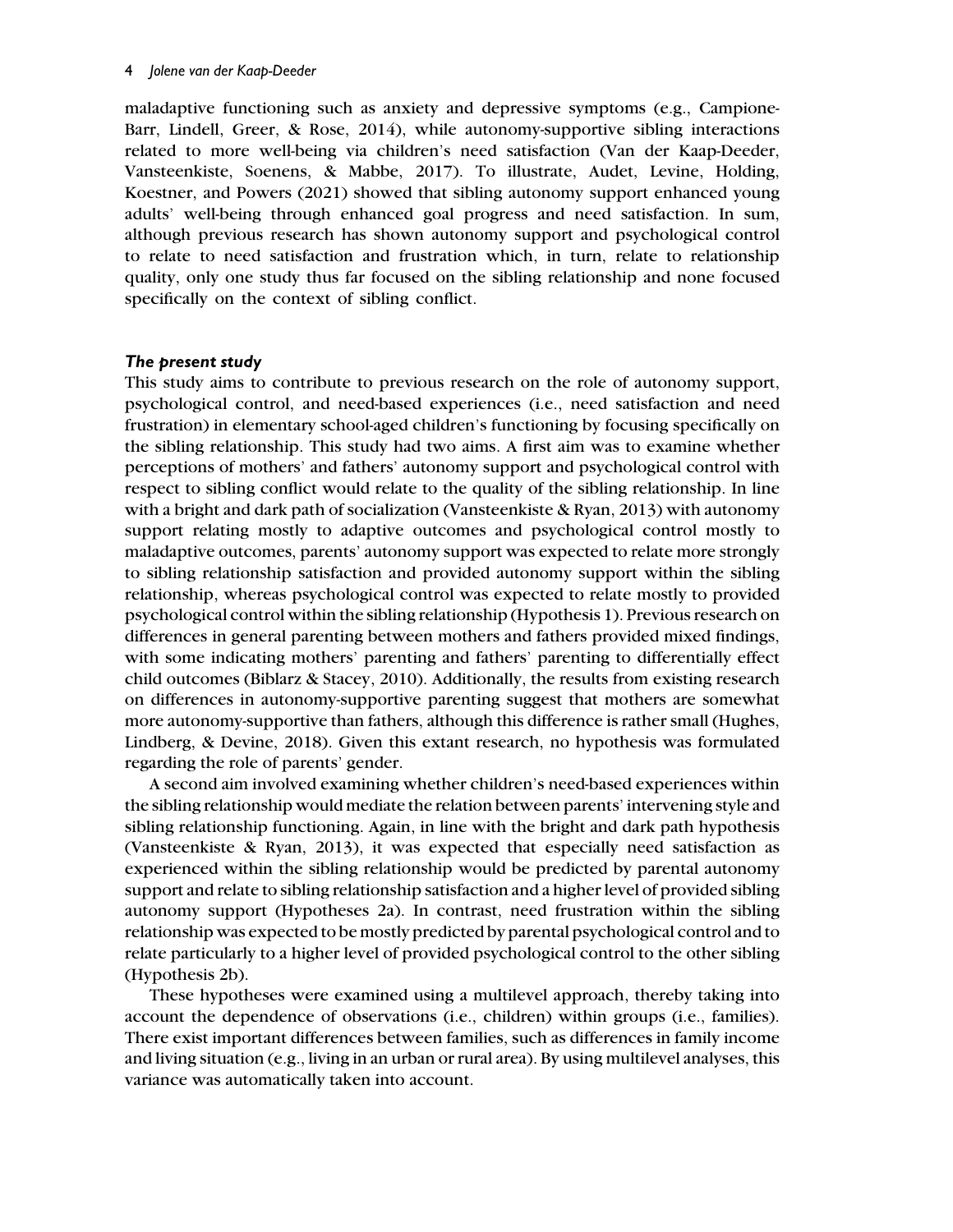maladaptive functioning such as anxiety and depressive symptoms (e.g., Campione-Barr, Lindell, Greer, & Rose, 2014), while autonomy-supportive sibling interactions related to more well-being via children's need satisfaction (Van der Kaap-Deeder, Vansteenkiste, Soenens, & Mabbe, 2017). To illustrate, Audet, Levine, Holding, Koestner, and Powers (2021) showed that sibling autonomy support enhanced young adults' well-being through enhanced goal progress and need satisfaction. In sum, although previous research has shown autonomy support and psychological control to relate to need satisfaction and frustration which, in turn, relate to relationship quality, only one study thus far focused on the sibling relationship and none focused specifically on the context of sibling conflict.

## The present study

This study aims to contribute to previous research on the role of autonomy support, psychological control, and need-based experiences (i.e., need satisfaction and need frustration) in elementary school-aged children's functioning by focusing specifically on the sibling relationship. This study had two aims. A first aim was to examine whether perceptions of mothers' and fathers' autonomy support and psychological control with respect to sibling conflict would relate to the quality of the sibling relationship. In line with a bright and dark path of socialization (Vansteenkiste & Ryan, 2013) with autonomy support relating mostly to adaptive outcomes and psychological control mostly to maladaptive outcomes, parents' autonomy support was expected to relate more strongly to sibling relationship satisfaction and provided autonomy support within the sibling relationship, whereas psychological control was expected to relate mostly to provided psychological control within the sibling relationship (Hypothesis 1). Previous research on differences in general parenting between mothers and fathers provided mixed findings, with some indicating mothers' parenting and fathers' parenting to differentially effect child outcomes (Biblarz & Stacey, 2010). Additionally, the results from existing research on differences in autonomy-supportive parenting suggest that mothers are somewhat more autonomy-supportive than fathers, although this difference is rather small (Hughes, Lindberg, & Devine, 2018). Given this extant research, no hypothesis was formulated regarding the role of parents' gender.

A second aim involved examining whether children's need-based experiences within the sibling relationship would mediate the relation between parents' intervening style and sibling relationship functioning. Again, in line with the bright and dark path hypothesis (Vansteenkiste & Ryan, 2013), it was expected that especially need satisfaction as experienced within the sibling relationship would be predicted by parental autonomy support and relate to sibling relationship satisfaction and a higher level of provided sibling autonomy support (Hypotheses 2a). In contrast, need frustration within the sibling relationship was expected to be mostly predicted by parental psychological control and to relate particularly to a higher level of provided psychological control to the other sibling (Hypothesis 2b).

These hypotheses were examined using a multilevel approach, thereby taking into account the dependence of observations (i.e., children) within groups (i.e., families). There exist important differences between families, such as differences in family income and living situation (e.g., living in an urban or rural area). By using multilevel analyses, this variance was automatically taken into account.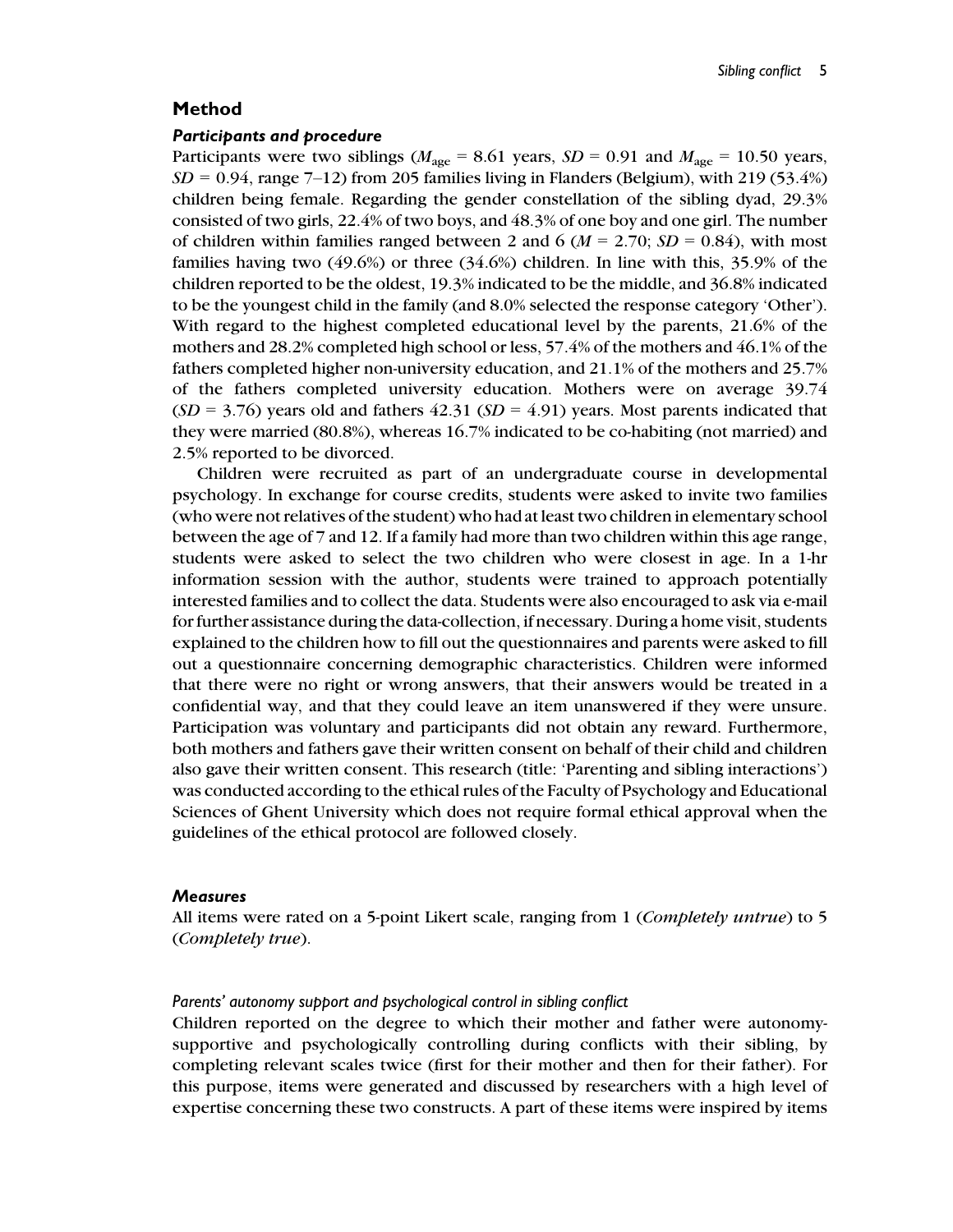#### Method

#### Participants and procedure

Participants were two siblings ( $M_{\text{age}} = 8.61$  years,  $SD = 0.91$  and  $M_{\text{age}} = 10.50$  years,  $SD = 0.94$ , range 7–12) from 205 families living in Flanders (Belgium), with 219 (53.4%) children being female. Regarding the gender constellation of the sibling dyad, 29.3% consisted of two girls, 22.4% of two boys, and 48.3% of one boy and one girl. The number of children within families ranged between 2 and 6 ( $M = 2.70$ ;  $SD = 0.84$ ), with most families having two (49.6%) or three (34.6%) children. In line with this, 35.9% of the children reported to be the oldest, 19.3% indicated to be the middle, and 36.8% indicated to be the youngest child in the family (and 8.0% selected the response category 'Other'). With regard to the highest completed educational level by the parents, 21.6% of the mothers and 28.2% completed high school or less, 57.4% of the mothers and 46.1% of the fathers completed higher non-university education, and 21.1% of the mothers and 25.7% of the fathers completed university education. Mothers were on average 39.74  $(SD = 3.76)$  years old and fathers 42.31  $(SD = 4.91)$  years. Most parents indicated that they were married (80.8%), whereas 16.7% indicated to be co-habiting (not married) and 2.5% reported to be divorced.

Children were recruited as part of an undergraduate course in developmental psychology. In exchange for course credits, students were asked to invite two families (who were not relatives of the student) who had at least two children in elementary school between the age of 7 and 12. If a family had more than two children within this age range, students were asked to select the two children who were closest in age. In a 1-hr information session with the author, students were trained to approach potentially interested families and to collect the data. Students were also encouraged to ask via e-mail for further assistance during the data-collection, if necessary. During a home visit, students explained to the children how to fill out the questionnaires and parents were asked to fill out a questionnaire concerning demographic characteristics. Children were informed that there were no right or wrong answers, that their answers would be treated in a confidential way, and that they could leave an item unanswered if they were unsure. Participation was voluntary and participants did not obtain any reward. Furthermore, both mothers and fathers gave their written consent on behalf of their child and children also gave their written consent. This research (title: 'Parenting and sibling interactions') was conducted according to the ethical rules of the Faculty of Psychology and Educational Sciences of Ghent University which does not require formal ethical approval when the guidelines of the ethical protocol are followed closely.

#### **Measures**

All items were rated on a 5-point Likert scale, ranging from 1 (*Completely untrue*) to 5 (Completely true).

#### Parents' autonomy support and psychological control in sibling conflict

Children reported on the degree to which their mother and father were autonomysupportive and psychologically controlling during conflicts with their sibling, by completing relevant scales twice (first for their mother and then for their father). For this purpose, items were generated and discussed by researchers with a high level of expertise concerning these two constructs. A part of these items were inspired by items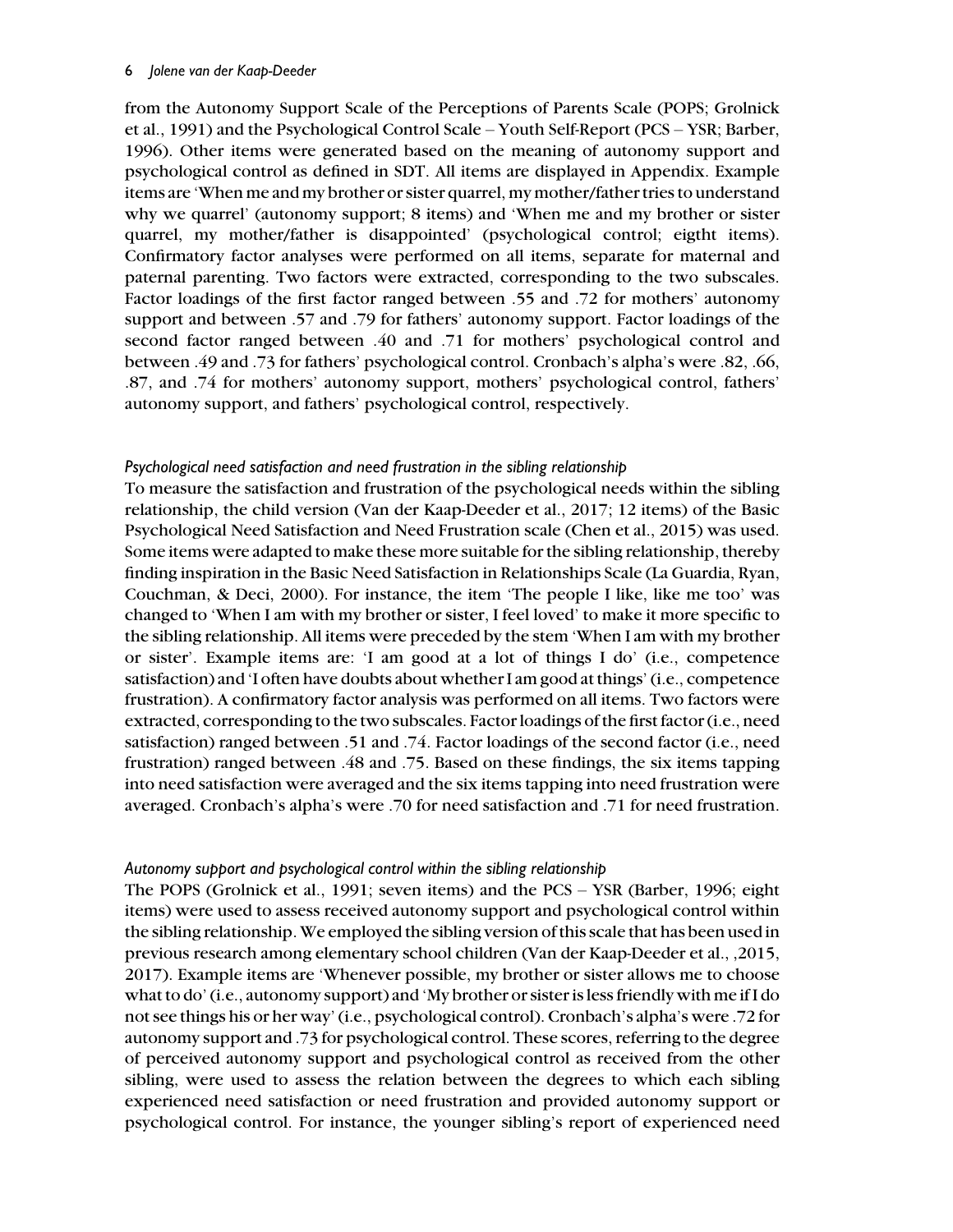#### 6 Jolene van der Kaap-Deeder

from the Autonomy Support Scale of the Perceptions of Parents Scale (POPS; Grolnick et al., 1991) and the Psychological Control Scale – Youth Self-Report (PCS – YSR; Barber, 1996). Other items were generated based on the meaning of autonomy support and psychological control as defined in SDT. All items are displayed in Appendix. Example items are 'When me and my brother or sister quarrel, my mother/father tries to understand why we quarrel' (autonomy support; 8 items) and 'When me and my brother or sister quarrel, my mother/father is disappointed' (psychological control; eigtht items). Confirmatory factor analyses were performed on all items, separate for maternal and paternal parenting. Two factors were extracted, corresponding to the two subscales. Factor loadings of the first factor ranged between .55 and .72 for mothers' autonomy support and between .57 and .79 for fathers' autonomy support. Factor loadings of the second factor ranged between .40 and .71 for mothers' psychological control and between .49 and .73 for fathers' psychological control. Cronbach's alpha's were .82, .66, .87, and .74 for mothers' autonomy support, mothers' psychological control, fathers' autonomy support, and fathers' psychological control, respectively.

#### Psychological need satisfaction and need frustration in the sibling relationship

To measure the satisfaction and frustration of the psychological needs within the sibling relationship, the child version (Van der Kaap-Deeder et al., 2017; 12 items) of the Basic Psychological Need Satisfaction and Need Frustration scale (Chen et al., 2015) was used. Some items were adapted to make these more suitable for the sibling relationship, thereby finding inspiration in the Basic Need Satisfaction in Relationships Scale (La Guardia, Ryan, Couchman, & Deci, 2000). For instance, the item 'The people I like, like me too' was changed to 'When I am with my brother or sister, I feel loved' to make it more specific to the sibling relationship. All items were preceded by the stem 'When I am with my brother or sister'. Example items are: 'I am good at a lot of things I do' (i.e., competence satisfaction) and 'I often have doubts about whether I am good at things' (i.e., competence frustration). A confirmatory factor analysis was performed on all items. Two factors were extracted, corresponding to the two subscales. Factor loadings of the first factor (i.e., need satisfaction) ranged between .51 and .74. Factor loadings of the second factor (i.e., need frustration) ranged between .48 and .75. Based on these findings, the six items tapping into need satisfaction were averaged and the six items tapping into need frustration were averaged. Cronbach's alpha's were .70 for need satisfaction and .71 for need frustration.

#### Autonomy support and psychological control within the sibling relationship

The POPS (Grolnick et al., 1991; seven items) and the PCS – YSR (Barber, 1996; eight items) were used to assess received autonomy support and psychological control within the sibling relationship.We employed the sibling version of this scale that has been used in previous research among elementary school children (Van der Kaap-Deeder et al., ,2015, 2017). Example items are 'Whenever possible, my brother or sister allows me to choose what to do' (i.e., autonomy support) and 'My brother or sister is less friendly with me if I do not see things his or her way' (i.e., psychological control). Cronbach's alpha's were .72 for autonomy support and .73 for psychological control. These scores, referring to the degree of perceived autonomy support and psychological control as received from the other sibling, were used to assess the relation between the degrees to which each sibling experienced need satisfaction or need frustration and provided autonomy support or psychological control. For instance, the younger sibling's report of experienced need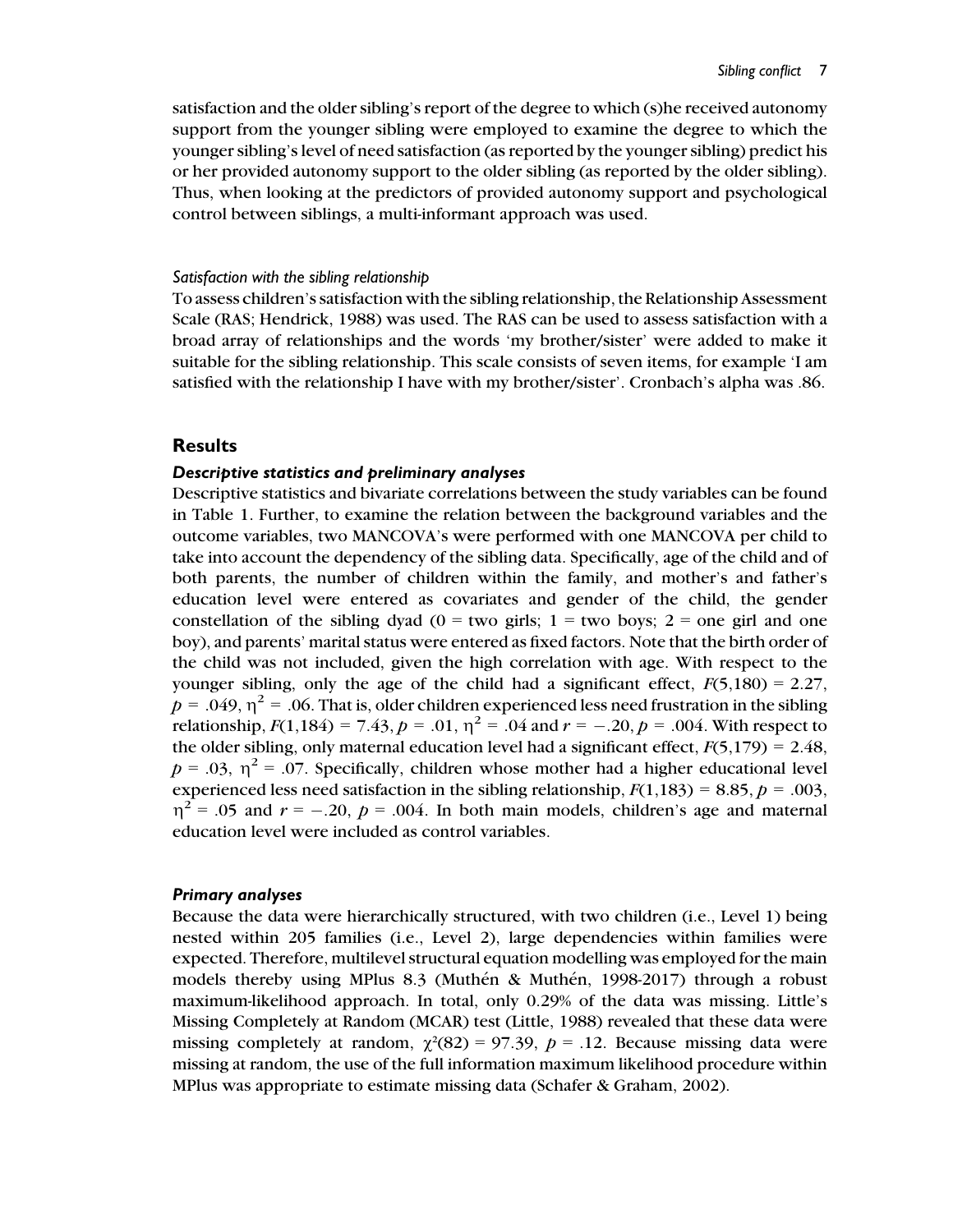satisfaction and the older sibling's report of the degree to which (s)he received autonomy support from the younger sibling were employed to examine the degree to which the younger sibling's level of need satisfaction (as reported by the younger sibling) predict his or her provided autonomy support to the older sibling (as reported by the older sibling). Thus, when looking at the predictors of provided autonomy support and psychological control between siblings, a multi-informant approach was used.

#### Satisfaction with the sibling relationship

To assess children's satisfaction with the sibling relationship, the Relationship Assessment Scale (RAS; Hendrick, 1988) was used. The RAS can be used to assess satisfaction with a broad array of relationships and the words 'my brother/sister' were added to make it suitable for the sibling relationship. This scale consists of seven items, for example 'I am satisfied with the relationship I have with my brother/sister'. Cronbach's alpha was .86.

#### **Results**

#### Descriptive statistics and preliminary analyses

Descriptive statistics and bivariate correlations between the study variables can be found in Table 1. Further, to examine the relation between the background variables and the outcome variables, two MANCOVA's were performed with one MANCOVA per child to take into account the dependency of the sibling data. Specifically, age of the child and of both parents, the number of children within the family, and mother's and father's education level were entered as covariates and gender of the child, the gender constellation of the sibling dyad ( $0 = two$  girls;  $1 = two$  boys;  $2 = one$  girl and one boy), and parents' marital status were entered as fixed factors. Note that the birth order of the child was not included, given the high correlation with age. With respect to the younger sibling, only the age of the child had a significant effect,  $F(5,180) = 2.27$ ,  $p = .049$ ,  $\eta^2 = .06$ . That is, older children experienced less need frustration in the sibling relationship,  $F(1,184) = 7.43$ ,  $p = .01$ ,  $\eta^2 = .04$  and  $r = -.20$ ,  $p = .004$ . With respect to the older sibling, only maternal education level had a significant effect,  $F(5,179) = 2.48$ ,  $p = .03$ ,  $\eta^2 = .07$ . Specifically, children whose mother had a higher educational level experienced less need satisfaction in the sibling relationship,  $F(1,183) = 8.85$ ,  $p = .003$ ,  $\eta^2$  = .05 and  $r = -.20$ ,  $p = .004$ . In both main models, children's age and maternal education level were included as control variables.

#### Primary analyses

Because the data were hierarchically structured, with two children (i.e., Level 1) being nested within 205 families (i.e., Level 2), large dependencies within families were expected. Therefore, multilevel structural equation modelling was employed for the main models thereby using MPlus 8.3 (Muthén & Muthén, 1998-2017) through a robust maximum-likelihood approach. In total, only 0.29% of the data was missing. Little's Missing Completely at Random (MCAR) test (Little, 1988) revealed that these data were missing completely at random,  $\chi^2(82) = 97.39$ ,  $p = .12$ . Because missing data were missing at random, the use of the full information maximum likelihood procedure within MPlus was appropriate to estimate missing data (Schafer & Graham, 2002).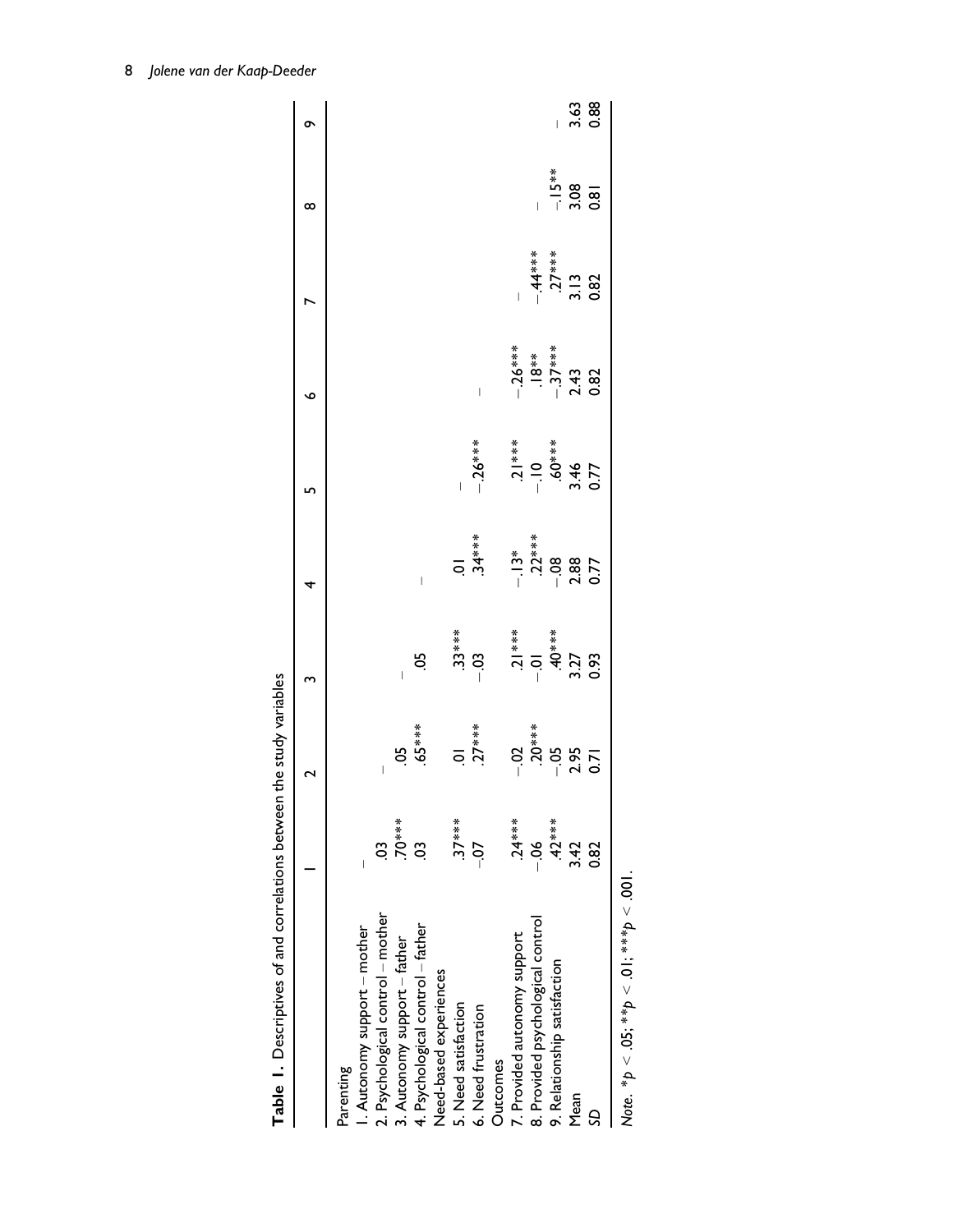| Table 1. Descriptives of and correlations between |           | the study variables                                |                                                    |                                                              |                                               |                                     |                          |                                 |              |
|---------------------------------------------------|-----------|----------------------------------------------------|----------------------------------------------------|--------------------------------------------------------------|-----------------------------------------------|-------------------------------------|--------------------------|---------------------------------|--------------|
|                                                   |           |                                                    | m                                                  | 4                                                            | ഗ                                             | ۰                                   |                          | ∞                               | ō            |
| Parenting                                         |           |                                                    |                                                    |                                                              |                                               |                                     |                          |                                 |              |
| I. Autonomy support - mother                      |           |                                                    |                                                    |                                                              |                                               |                                     |                          |                                 |              |
| 2. Psychological control - mother                 | CO.       |                                                    |                                                    |                                                              |                                               |                                     |                          |                                 |              |
| 3. Autonomy support - father                      | $.70***$  | 50                                                 | $\overline{1}$                                     |                                                              |                                               |                                     |                          |                                 |              |
| 4. Psychological control - father                 | 3         | $.65***$                                           | 9.                                                 |                                                              |                                               |                                     |                          |                                 |              |
| Need-based experiences                            |           |                                                    |                                                    |                                                              |                                               |                                     |                          |                                 |              |
| 5. Need satisfaction                              | $.37***$  |                                                    |                                                    |                                                              |                                               |                                     |                          |                                 |              |
| 6. Need frustration                               | $-5$      | $.01$<br>27***                                     | $-0.03$<br>-.03                                    | $.34***$                                                     | $-26***$                                      | $\begin{array}{c} \end{array}$      |                          |                                 |              |
| Outcomes                                          |           |                                                    |                                                    |                                                              |                                               |                                     |                          |                                 |              |
| 7. Provided autonomy support                      | $.24***$  |                                                    |                                                    |                                                              |                                               | $-26***$                            |                          |                                 |              |
| 8. Provided psychological control                 | 90<br>∣   |                                                    |                                                    |                                                              |                                               |                                     |                          |                                 |              |
| 9. Relationship satisfaction                      | $42***$   | $-0.2$<br>$-0.0$ ***<br>$-0.5$<br>$-0.5$<br>$0.71$ | $-31***$<br>$-01$<br>$+40***$<br>$+3.27$<br>$0.93$ | $-13**$<br>$-23**$<br>$-1300$<br>$-1300$<br>$-150$<br>$-150$ | $-1$ <sup>***</sup><br>--10<br>.60***<br>3.46 | $18***$<br>$-37***$<br>2.43<br>0.82 | $-44***$<br>3.13<br>3.13 |                                 |              |
| Mean                                              | 3.42      |                                                    |                                                    |                                                              |                                               |                                     |                          | $\frac{-15}{3}$<br>3.08<br>0.81 | 3.63<br>0.88 |
| S                                                 | <b>82</b> |                                                    |                                                    |                                                              |                                               |                                     |                          |                                 |              |
|                                                   |           |                                                    |                                                    |                                                              |                                               |                                     |                          |                                 |              |

| )<br>}<br>}                                                              |
|--------------------------------------------------------------------------|
| $-15.25$                                                                 |
|                                                                          |
|                                                                          |
|                                                                          |
|                                                                          |
|                                                                          |
|                                                                          |
|                                                                          |
|                                                                          |
|                                                                          |
| こうろうろ こうしょう                                                              |
|                                                                          |
| יפליילים ביטורים להביטור דלום ביטורים ביטורים.<br>ביטורים<br>)<br>]<br>] |
|                                                                          |
|                                                                          |
|                                                                          |
| ś                                                                        |
|                                                                          |
|                                                                          |
|                                                                          |
|                                                                          |
| ı                                                                        |
|                                                                          |
|                                                                          |
|                                                                          |
|                                                                          |
| ľ                                                                        |

Note. \* $p < .05$ ; \*\* $p < .01$ ; \*\*\* $p < .001$ .  $\mathsf{Note.}~{}^*\!\mathsf{p} < .05;{}^*{}^*\!\mathsf{p} < .01;{}^*{}^*\!\mathsf{p} < .001.$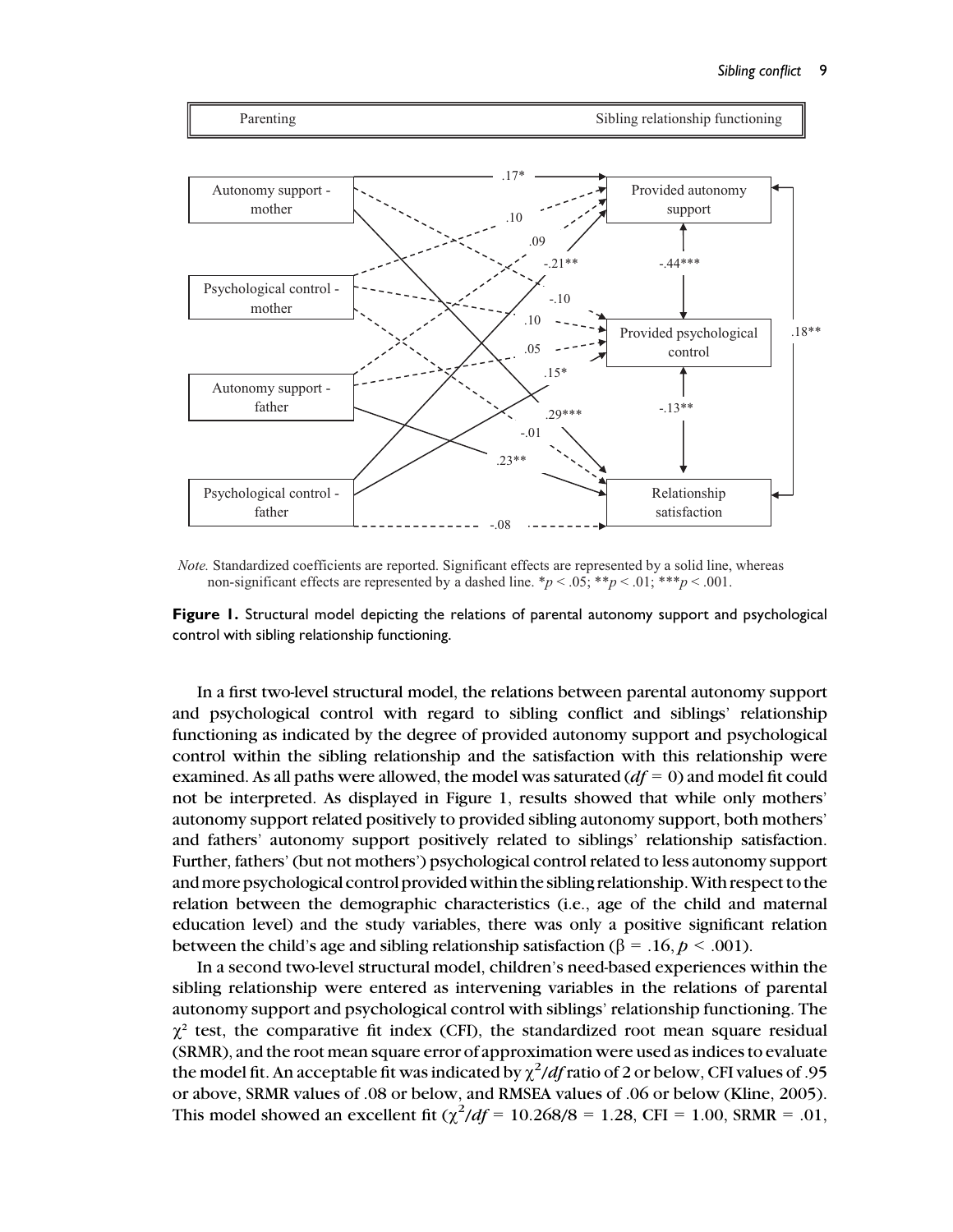

*Note.* Standardized coefficients are reported. Significant effects are represented by a solid line, whereas non-significant effects are represented by a dashed line.  $\frac{*p}{<}$ .05;  $\frac{*p}{<}$ .01;  $\frac{**p}{<}$ .001.

Figure 1. Structural model depicting the relations of parental autonomy support and psychological control with sibling relationship functioning.

In a first two-level structural model, the relations between parental autonomy support and psychological control with regard to sibling conflict and siblings' relationship functioning as indicated by the degree of provided autonomy support and psychological control within the sibling relationship and the satisfaction with this relationship were examined. As all paths were allowed, the model was saturated  $(df = 0)$  and model fit could not be interpreted. As displayed in Figure 1, results showed that while only mothers' autonomy support related positively to provided sibling autonomy support, both mothers' and fathers' autonomy support positively related to siblings' relationship satisfaction. Further, fathers' (but not mothers') psychological control related to less autonomy support andmore psychological control provided within the sibling relationship.With respect to the relation between the demographic characteristics (i.e., age of the child and maternal education level) and the study variables, there was only a positive significant relation between the child's age and sibling relationship satisfaction ( $\beta = .16$ ,  $p < .001$ ).

In a second two-level structural model, children's need-based experiences within the sibling relationship were entered as intervening variables in the relations of parental autonomy support and psychological control with siblings' relationship functioning. The  $\chi^2$  test, the comparative fit index (CFI), the standardized root mean square residual (SRMR), and the root mean square error of approximation were used as indices to evaluate the model fit. An acceptable fit was indicated by  $\chi^2/df$  ratio of 2 or below, CFI values of .95 or above, SRMR values of .08 or below, and RMSEA values of .06 or below (Kline, 2005). This model showed an excellent fit  $(\chi^2/df = 10.268/8 = 1.28, \text{CFI} = 1.00, \text{SRMR} = .01,$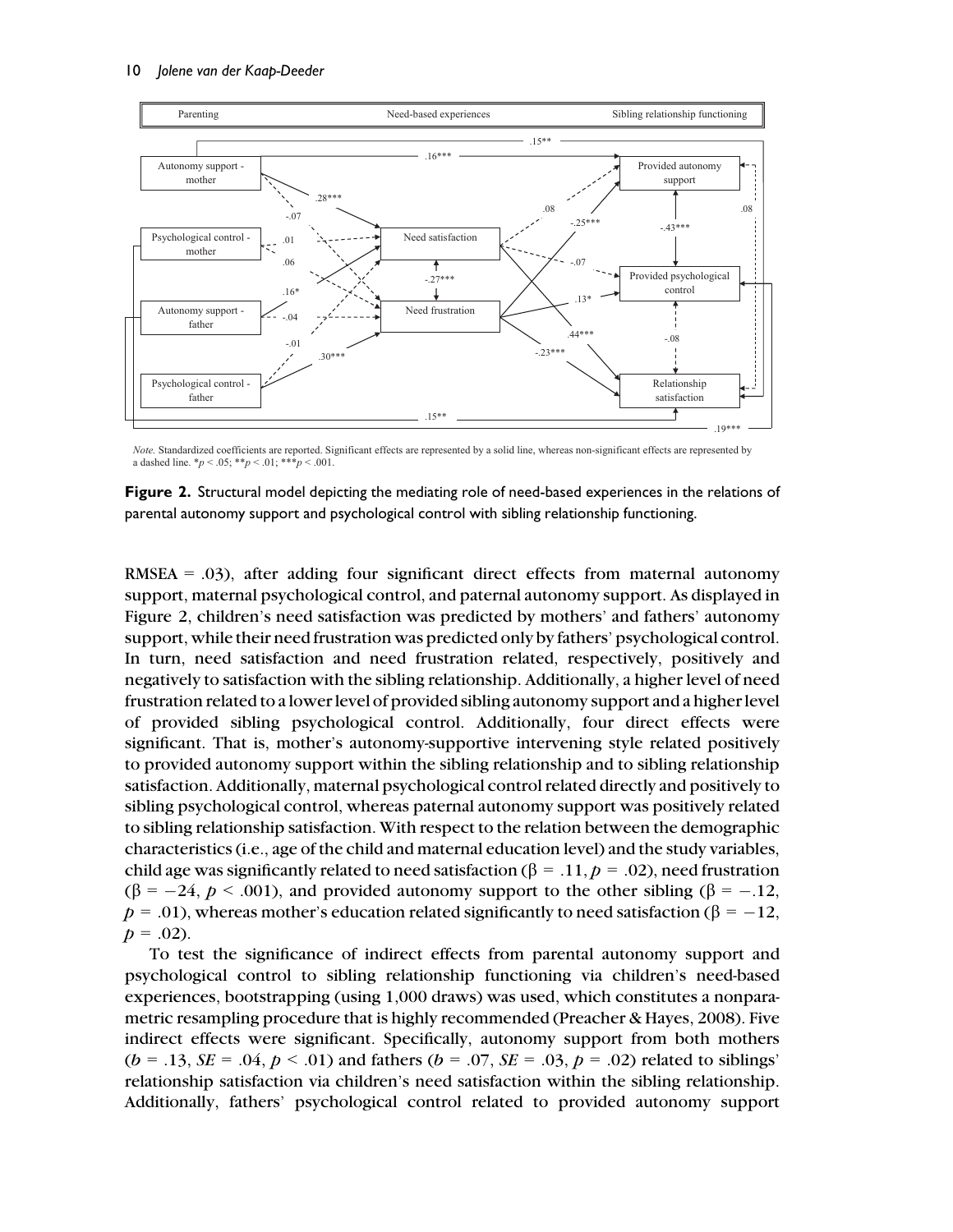

*Note.* Standardized coefficients are reported. Significant effects are represented by a solid line, whereas non-significant effects are represented by a dashed line. \**p* < .05; \*\**p* < .01; \*\*\**p* < .001.

Figure 2. Structural model depicting the mediating role of need-based experiences in the relations of parental autonomy support and psychological control with sibling relationship functioning.

RMSEA  $=$  .03), after adding four significant direct effects from maternal autonomy support, maternal psychological control, and paternal autonomy support. As displayed in Figure 2, children's need satisfaction was predicted by mothers' and fathers' autonomy support, while their need frustration was predicted only by fathers' psychological control. In turn, need satisfaction and need frustration related, respectively, positively and negatively to satisfaction with the sibling relationship. Additionally, a higher level of need frustration related to a lower level of provided sibling autonomy support and a higher level of provided sibling psychological control. Additionally, four direct effects were significant. That is, mother's autonomy-supportive intervening style related positively to provided autonomy support within the sibling relationship and to sibling relationship satisfaction. Additionally, maternal psychological control related directly and positively to sibling psychological control, whereas paternal autonomy support was positively related to sibling relationship satisfaction. With respect to the relation between the demographic characteristics (i.e., age of the child and maternal education level) and the study variables, child age was significantly related to need satisfaction ( $\beta = .11$ ,  $p = .02$ ), need frustration  $(\beta = -24, p < .001)$ , and provided autonomy support to the other sibling  $(\beta = -.12,$  $p = .01$ ), whereas mother's education related significantly to need satisfaction ( $\beta = -12$ ,  $p = .02$ ).

To test the significance of indirect effects from parental autonomy support and psychological control to sibling relationship functioning via children's need-based experiences, bootstrapping (using 1,000 draws) was used, which constitutes a nonparametric resampling procedure that is highly recommended (Preacher & Hayes, 2008). Five indirect effects were significant. Specifically, autonomy support from both mothers  $(b = .13, SE = .04, p < .01)$  and fathers  $(b = .07, SE = .03, p = .02)$  related to siblings' relationship satisfaction via children's need satisfaction within the sibling relationship. Additionally, fathers' psychological control related to provided autonomy support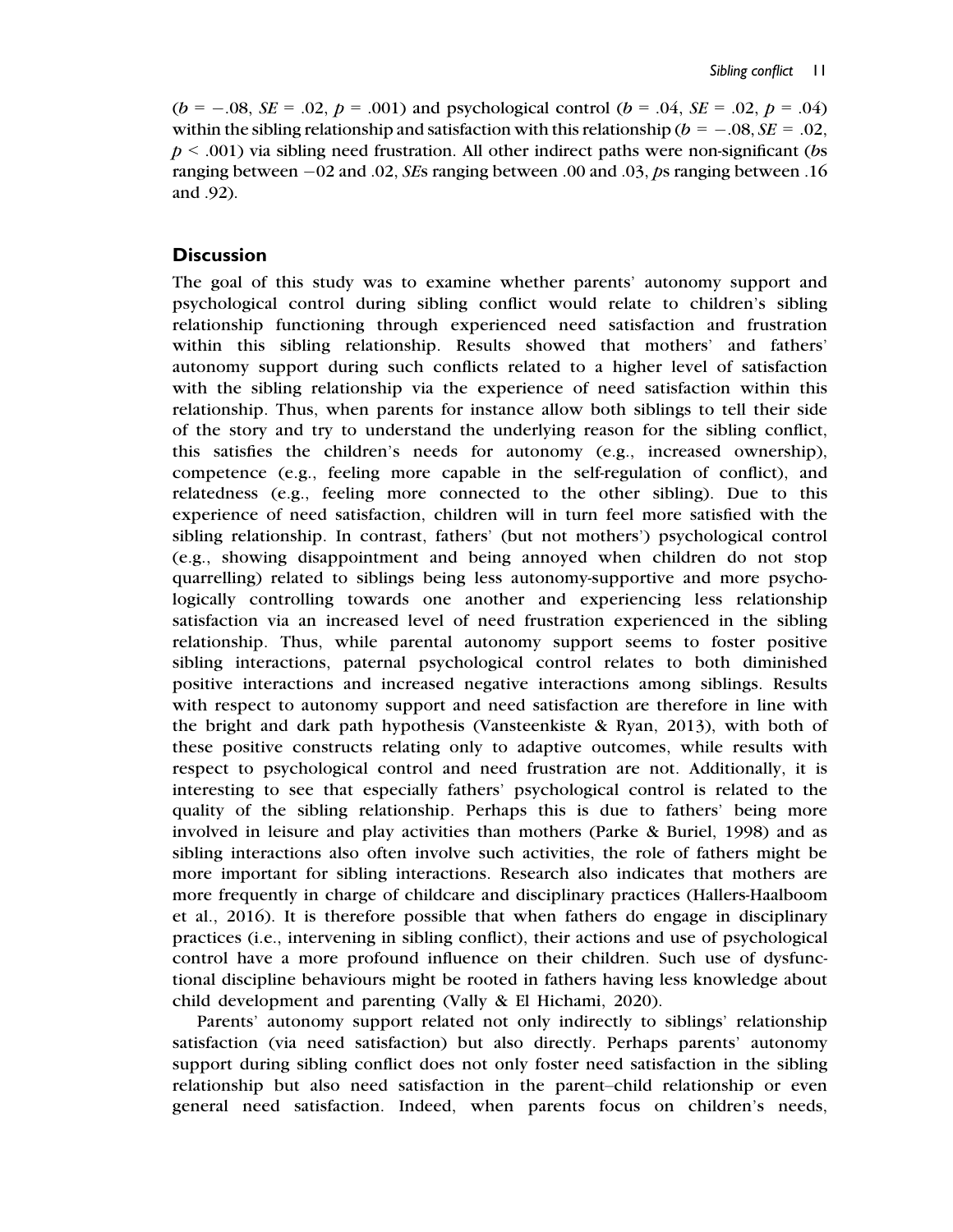$(b = -.08, \, SE = .02, \, p = .001)$  and psychological control  $(b = .04, \, SE = .02, \, p = .04)$ within the sibling relationship and satisfaction with this relationship ( $b = -.08, SE = .02$ ,  $p \leq 0.001$ ) via sibling need frustration. All other indirect paths were non-significant (bs ranging between  $-02$  and 0.02, *SEs* ranging between 0.00 and 0.03, ps ranging between 0.16 and .92).

#### **Discussion**

The goal of this study was to examine whether parents' autonomy support and psychological control during sibling conflict would relate to children's sibling relationship functioning through experienced need satisfaction and frustration within this sibling relationship. Results showed that mothers' and fathers' autonomy support during such conflicts related to a higher level of satisfaction with the sibling relationship via the experience of need satisfaction within this relationship. Thus, when parents for instance allow both siblings to tell their side of the story and try to understand the underlying reason for the sibling conflict, this satisfies the children's needs for autonomy (e.g., increased ownership), competence (e.g., feeling more capable in the self-regulation of conflict), and relatedness (e.g., feeling more connected to the other sibling). Due to this experience of need satisfaction, children will in turn feel more satisfied with the sibling relationship. In contrast, fathers' (but not mothers') psychological control (e.g., showing disappointment and being annoyed when children do not stop quarrelling) related to siblings being less autonomy-supportive and more psychologically controlling towards one another and experiencing less relationship satisfaction via an increased level of need frustration experienced in the sibling relationship. Thus, while parental autonomy support seems to foster positive sibling interactions, paternal psychological control relates to both diminished positive interactions and increased negative interactions among siblings. Results with respect to autonomy support and need satisfaction are therefore in line with the bright and dark path hypothesis (Vansteenkiste & Ryan, 2013), with both of these positive constructs relating only to adaptive outcomes, while results with respect to psychological control and need frustration are not. Additionally, it is interesting to see that especially fathers' psychological control is related to the quality of the sibling relationship. Perhaps this is due to fathers' being more involved in leisure and play activities than mothers (Parke & Buriel, 1998) and as sibling interactions also often involve such activities, the role of fathers might be more important for sibling interactions. Research also indicates that mothers are more frequently in charge of childcare and disciplinary practices (Hallers-Haalboom et al., 2016). It is therefore possible that when fathers do engage in disciplinary practices (i.e., intervening in sibling conflict), their actions and use of psychological control have a more profound influence on their children. Such use of dysfunctional discipline behaviours might be rooted in fathers having less knowledge about child development and parenting (Vally & El Hichami, 2020).

Parents' autonomy support related not only indirectly to siblings' relationship satisfaction (via need satisfaction) but also directly. Perhaps parents' autonomy support during sibling conflict does not only foster need satisfaction in the sibling relationship but also need satisfaction in the parent–child relationship or even general need satisfaction. Indeed, when parents focus on children's needs,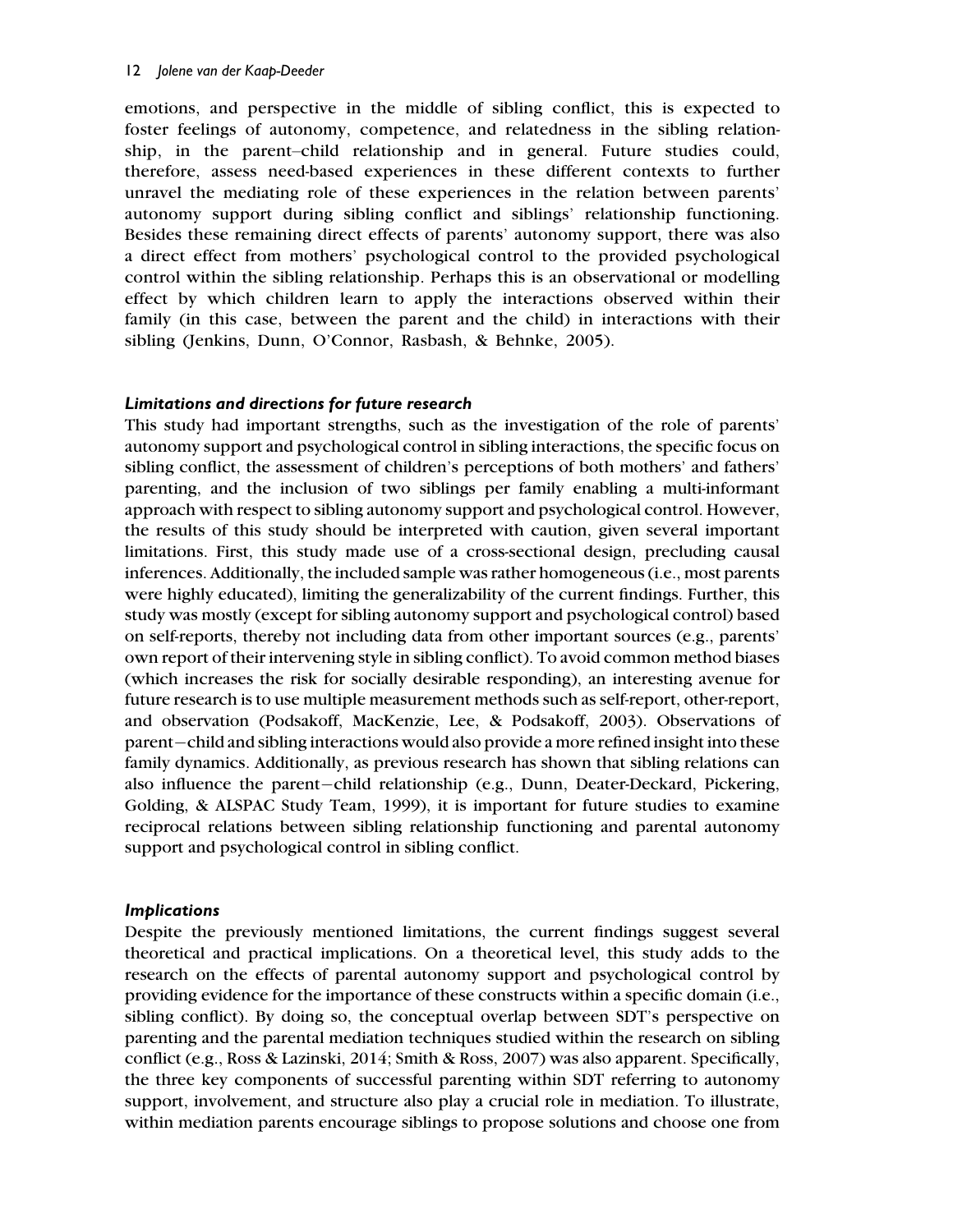emotions, and perspective in the middle of sibling conflict, this is expected to foster feelings of autonomy, competence, and relatedness in the sibling relationship, in the parent–child relationship and in general. Future studies could, therefore, assess need-based experiences in these different contexts to further unravel the mediating role of these experiences in the relation between parents' autonomy support during sibling conflict and siblings' relationship functioning. Besides these remaining direct effects of parents' autonomy support, there was also a direct effect from mothers' psychological control to the provided psychological control within the sibling relationship. Perhaps this is an observational or modelling effect by which children learn to apply the interactions observed within their family (in this case, between the parent and the child) in interactions with their sibling (Jenkins, Dunn, O'Connor, Rasbash, & Behnke, 2005).

## Limitations and directions for future research

This study had important strengths, such as the investigation of the role of parents' autonomy support and psychological control in sibling interactions, the specific focus on sibling conflict, the assessment of children's perceptions of both mothers' and fathers' parenting, and the inclusion of two siblings per family enabling a multi-informant approach with respect to sibling autonomy support and psychological control. However, the results of this study should be interpreted with caution, given several important limitations. First, this study made use of a cross-sectional design, precluding causal inferences. Additionally, the included sample was rather homogeneous (i.e., most parents were highly educated), limiting the generalizability of the current findings. Further, this study was mostly (except for sibling autonomy support and psychological control) based on self-reports, thereby not including data from other important sources (e.g., parents' own report of their intervening style in sibling conflict). To avoid common method biases (which increases the risk for socially desirable responding), an interesting avenue for future research is to use multiple measurement methods such as self-report, other-report, and observation (Podsakoff, MacKenzie, Lee, & Podsakoff, 2003). Observations of parent—child and sibling interactions would also provide a more refined insight into these family dynamics. Additionally, as previous research has shown that sibling relations can also influence the parent-child relationship (e.g., Dunn, Deater-Deckard, Pickering, Golding, & ALSPAC Study Team, 1999), it is important for future studies to examine reciprocal relations between sibling relationship functioning and parental autonomy support and psychological control in sibling conflict.

## Implications

Despite the previously mentioned limitations, the current findings suggest several theoretical and practical implications. On a theoretical level, this study adds to the research on the effects of parental autonomy support and psychological control by providing evidence for the importance of these constructs within a specific domain (i.e., sibling conflict). By doing so, the conceptual overlap between SDT's perspective on parenting and the parental mediation techniques studied within the research on sibling conflict (e.g., Ross & Lazinski, 2014; Smith & Ross, 2007) was also apparent. Specifically, the three key components of successful parenting within SDT referring to autonomy support, involvement, and structure also play a crucial role in mediation. To illustrate, within mediation parents encourage siblings to propose solutions and choose one from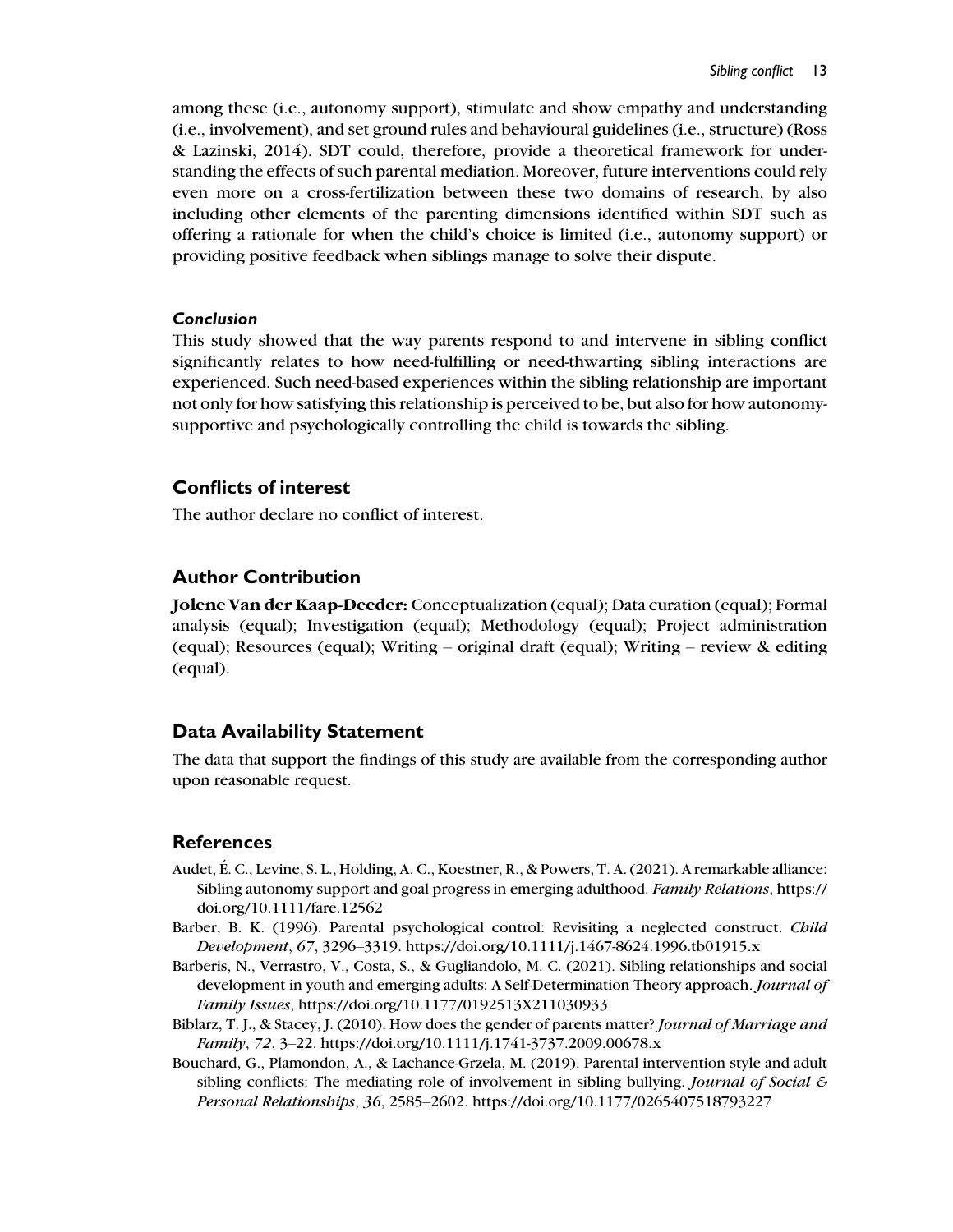among these (i.e., autonomy support), stimulate and show empathy and understanding (i.e., involvement), and set ground rules and behavioural guidelines (i.e., structure) (Ross & Lazinski, 2014). SDT could, therefore, provide a theoretical framework for understanding the effects of such parental mediation. Moreover, future interventions could rely even more on a cross-fertilization between these two domains of research, by also including other elements of the parenting dimensions identified within SDT such as offering a rationale for when the child's choice is limited (i.e., autonomy support) or providing positive feedback when siblings manage to solve their dispute.

#### Conclusion

This study showed that the way parents respond to and intervene in sibling conflict significantly relates to how need-fulfilling or need-thwarting sibling interactions are experienced. Such need-based experiences within the sibling relationship are important not only for how satisfying this relationship is perceived to be, but also for how autonomysupportive and psychologically controlling the child is towards the sibling.

## Conflicts of interest

The author declare no conflict of interest.

## Author Contribution

Jolene Van der Kaap-Deeder: Conceptualization (equal); Data curation (equal); Formal analysis (equal); Investigation (equal); Methodology (equal); Project administration (equal); Resources (equal); Writing – original draft (equal); Writing – review  $\&$  editing (equal).

## Data Availability Statement

The data that support the findings of this study are available from the corresponding author upon reasonable request.

## References

- Audet, É. C., Levine, S. L., Holding, A. C., Koestner, R., & Powers, T. A. (2021). A remarkable alliance: Sibling autonomy support and goal progress in emerging adulthood. Family Relations, https:// doi.org/10.1111/fare.12562
- Barber, B. K. (1996). Parental psychological control: Revisiting a neglected construct. Child Development, 67, 3296–3319. https://doi.org/10.1111/j.1467-8624.1996.tb01915.x
- Barberis, N., Verrastro, V., Costa, S., & Gugliandolo, M. C. (2021). Sibling relationships and social development in youth and emerging adults: A Self-Determination Theory approach. Journal of Family Issues, https://doi.org/10.1177/0192513X211030933
- Biblarz, T. J., & Stacey, J. (2010). How does the gender of parents matter? Journal of Marriage and Family, 72, 3–22. https://doi.org/10.1111/j.1741-3737.2009.00678.x
- Bouchard, G., Plamondon, A., & Lachance-Grzela, M. (2019). Parental intervention style and adult sibling conflicts: The mediating role of involvement in sibling bullying. *Journal of Social*  $\epsilon$ Personal Relationships, 36, 2585–2602. https://doi.org/10.1177/0265407518793227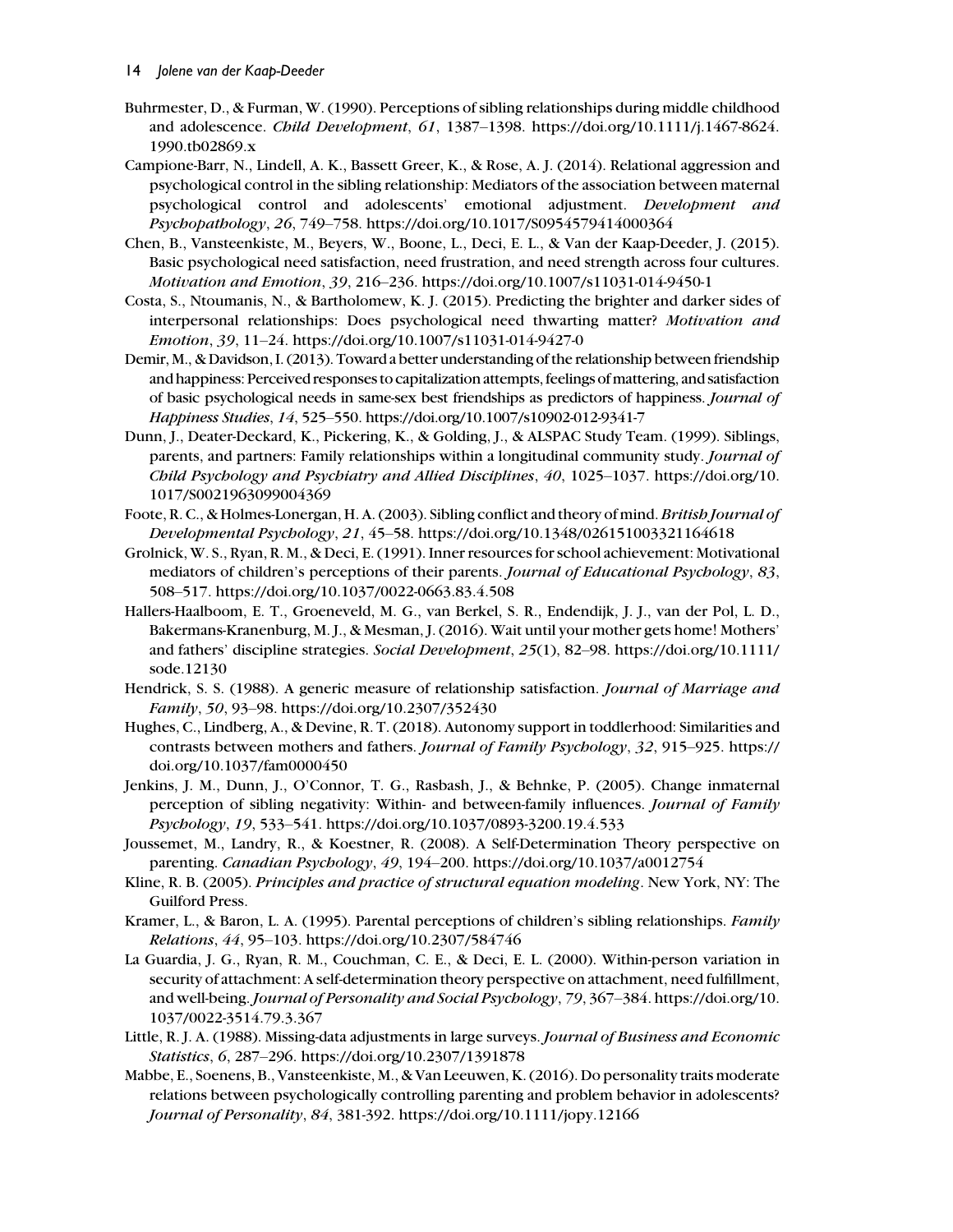- Buhrmester, D., & Furman, W. (1990). Perceptions of sibling relationships during middle childhood and adolescence. Child Development, 61, 1387–1398. https://doi.org/10.1111/j.1467-8624. 1990.tb02869.x
- Campione-Barr, N., Lindell, A. K., Bassett Greer, K., & Rose, A. J. (2014). Relational aggression and psychological control in the sibling relationship: Mediators of the association between maternal psychological control and adolescents' emotional adjustment. Development and Psychopathology, 26, 749–758. https://doi.org/10.1017/S0954579414000364
- Chen, B., Vansteenkiste, M., Beyers, W., Boone, L., Deci, E. L., & Van der Kaap-Deeder, J. (2015). Basic psychological need satisfaction, need frustration, and need strength across four cultures. Motivation and Emotion, 39, 216–236. https://doi.org/10.1007/s11031-014-9450-1
- Costa, S., Ntoumanis, N., & Bartholomew, K. J. (2015). Predicting the brighter and darker sides of interpersonal relationships: Does psychological need thwarting matter? Motivation and Emotion, 39, 11–24. https://doi.org/10.1007/s11031-014-9427-0
- Demir, M., & Davidson, I. (2013). Toward a better understanding of the relationship between friendship and happiness: Perceived responses to capitalization attempts, feelings of mattering, and satisfaction of basic psychological needs in same-sex best friendships as predictors of happiness. Journal of Happiness Studies, 14, 525–550. https://doi.org/10.1007/s10902-012-9341-7
- Dunn, J., Deater-Deckard, K., Pickering, K., & Golding, J., & ALSPAC Study Team. (1999). Siblings, parents, and partners: Family relationships within a longitudinal community study. Journal of Child Psychology and Psychiatry and Allied Disciplines, 40, 1025–1037. https://doi.org/10. 1017/S0021963099004369
- Foote, R. C., & Holmes-Lonergan, H. A. (2003). Sibling conflict and theory of mind. British Journal of Developmental Psychology, 21, 45–58. https://doi.org/10.1348/026151003321164618
- Grolnick, W. S., Ryan, R. M., & Deci, E. (1991). Inner resources for school achievement: Motivational mediators of children's perceptions of their parents. Journal of Educational Psychology, 83, 508–517. https://doi.org/10.1037/0022-0663.83.4.508
- Hallers-Haalboom, E. T., Groeneveld, M. G., van Berkel, S. R., Endendijk, J. J., van der Pol, L. D., Bakermans-Kranenburg, M. J., & Mesman, J. (2016). Wait until your mother gets home! Mothers' and fathers' discipline strategies. Social Development, 25(1), 82–98. https://doi.org/10.1111/ sode.12130
- Hendrick, S. S. (1988). A generic measure of relationship satisfaction. Journal of Marriage and Family, 50, 93–98. https://doi.org/10.2307/352430
- Hughes, C., Lindberg, A., & Devine, R. T. (2018). Autonomy support in toddlerhood: Similarities and contrasts between mothers and fathers. Journal of Family Psychology, 32, 915–925. https:// doi.org/10.1037/fam0000450
- Jenkins, J. M., Dunn, J., O'Connor, T. G., Rasbash, J., & Behnke, P. (2005). Change inmaternal perception of sibling negativity: Within- and between-family influences. Journal of Family Psychology, 19, 533–541. https://doi.org/10.1037/0893-3200.19.4.533
- Joussemet, M., Landry, R., & Koestner, R. (2008). A Self-Determination Theory perspective on parenting. Canadian Psychology, 49, 194–200. https://doi.org/10.1037/a0012754
- Kline, R. B. (2005). Principles and practice of structural equation modeling. New York, NY: The Guilford Press.
- Kramer, L., & Baron, L. A. (1995). Parental perceptions of children's sibling relationships. Family Relations, 44, 95–103. https://doi.org/10.2307/584746
- La Guardia, J. G., Ryan, R. M., Couchman, C. E., & Deci, E. L. (2000). Within-person variation in security of attachment: A self-determination theory perspective on attachment, need fulfillment, and well-being. Journal of Personality and Social Psychology, 79, 367–384. https://doi.org/10. 1037/0022-3514.79.3.367
- Little, R. J. A. (1988). Missing-data adjustments in large surveys. Journal of Business and Economic Statistics, 6, 287–296. https://doi.org/10.2307/1391878
- Mabbe, E., Soenens, B., Vansteenkiste, M., & Van Leeuwen, K. (2016). Do personality traits moderate relations between psychologically controlling parenting and problem behavior in adolescents? Journal of Personality, 84, 381-392. https://doi.org/10.1111/jopy.12166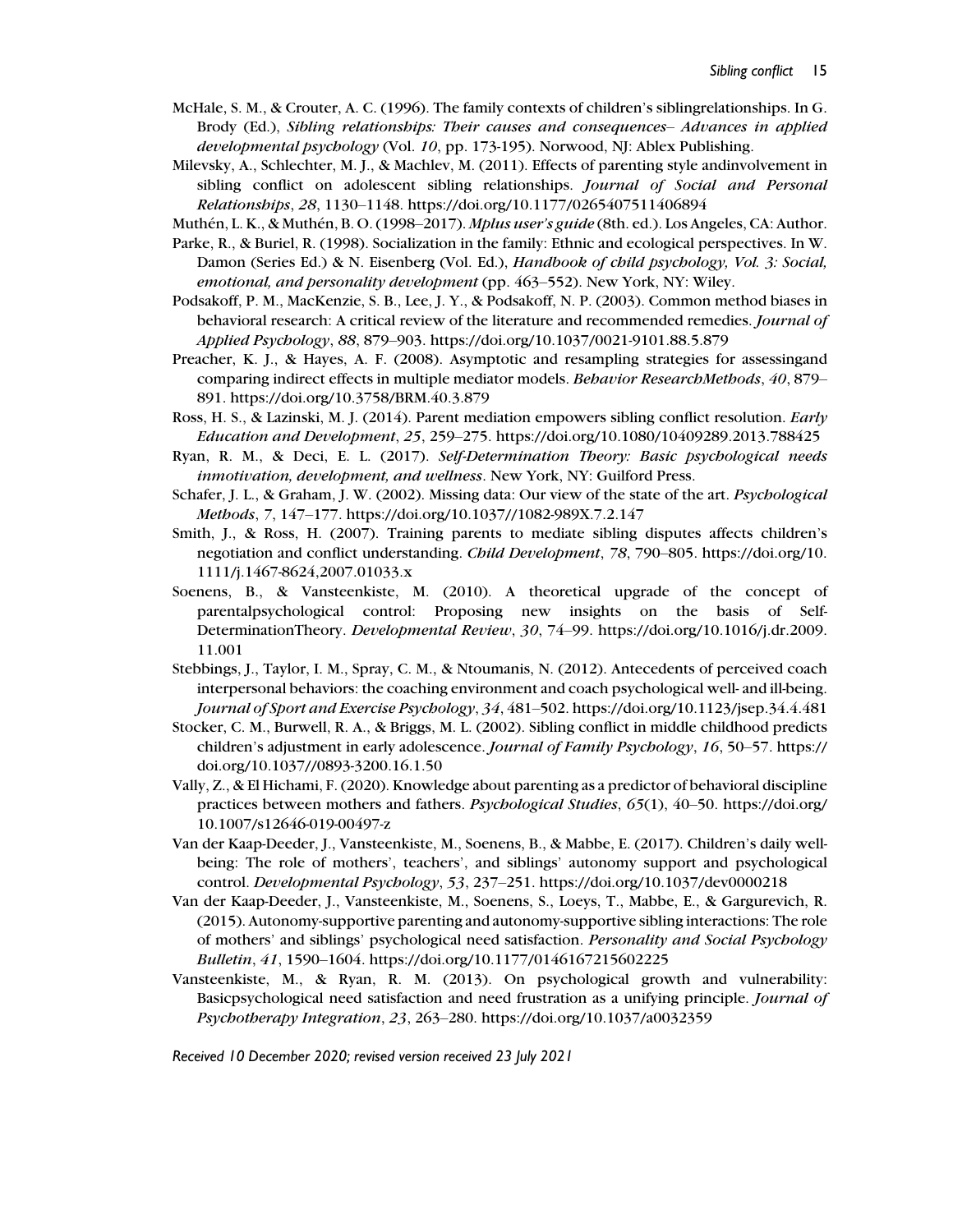- McHale, S. M., & Crouter, A. C. (1996). The family contexts of children's siblingrelationships. In G. Brody (Ed.), Sibling relationships: Their causes and consequences– Advances in applied developmental psychology (Vol. 10, pp. 173-195). Norwood, NJ: Ablex Publishing.
- Milevsky, A., Schlechter, M. J., & Machlev, M. (2011). Effects of parenting style andinvolvement in sibling conflict on adolescent sibling relationships. Journal of Social and Personal Relationships, 28, 1130–1148. https://doi.org/10.1177/0265407511406894
- Muthén, L. K., & Muthén, B. O. (1998–2017). *Mplus user's guide* (8th. ed.). Los Angeles, CA: Author.
- Parke, R., & Buriel, R. (1998). Socialization in the family: Ethnic and ecological perspectives. In W. Damon (Series Ed.) & N. Eisenberg (Vol. Ed.), Handbook of child psychology, Vol. 3: Social, emotional, and personality development (pp. 463-552). New York, NY: Wiley.
- Podsakoff, P. M., MacKenzie, S. B., Lee, J. Y., & Podsakoff, N. P. (2003). Common method biases in behavioral research: A critical review of the literature and recommended remedies. *Journal of* Applied Psychology, 88, 879–903. https://doi.org/10.1037/0021-9101.88.5.879
- Preacher, K. J., & Hayes, A. F. (2008). Asymptotic and resampling strategies for assessingand comparing indirect effects in multiple mediator models. Behavior ResearchMethods, 40, 879– 891. https://doi.org/10.3758/BRM.40.3.879
- Ross, H. S., & Lazinski, M. J. (2014). Parent mediation empowers sibling conflict resolution. Early Education and Development, 25, 259–275. https://doi.org/10.1080/10409289.2013.788425
- Ryan, R. M., & Deci, E. L. (2017). Self-Determination Theory: Basic psychological needs inmotivation, development, and wellness. New York, NY: Guilford Press.
- Schafer, J. L., & Graham, J. W. (2002). Missing data: Our view of the state of the art. *Psychological* Methods, 7, 147–177. https://doi.org/10.1037//1082-989X.7.2.147
- Smith, J., & Ross, H. (2007). Training parents to mediate sibling disputes affects children's negotiation and conflict understanding. Child Development, 78, 790–805. https://doi.org/10. 1111/j.1467-8624,2007.01033.x
- Soenens, B., & Vansteenkiste, M. (2010). A theoretical upgrade of the concept of parentalpsychological control: Proposing new insights on the basis of Self-DeterminationTheory. Developmental Review, 30, 74–99. https://doi.org/10.1016/j.dr.2009. 11.001
- Stebbings, J., Taylor, I. M., Spray, C. M., & Ntoumanis, N. (2012). Antecedents of perceived coach interpersonal behaviors: the coaching environment and coach psychological well- and ill-being. Journal of Sport and Exercise Psychology, 34, 481–502. https://doi.org/10.1123/jsep.34.4.481
- Stocker, C. M., Burwell, R. A., & Briggs, M. L. (2002). Sibling conflict in middle childhood predicts children's adjustment in early adolescence. Journal of Family Psychology, 16, 50–57. https:// doi.org/10.1037//0893-3200.16.1.50
- Vally, Z., & El Hichami, F. (2020). Knowledge about parenting as a predictor of behavioral discipline practices between mothers and fathers. Psychological Studies, 65(1), 40–50. https://doi.org/ 10.1007/s12646-019-00497-z
- Van der Kaap-Deeder, J., Vansteenkiste, M., Soenens, B., & Mabbe, E. (2017). Children's daily wellbeing: The role of mothers', teachers', and siblings' autonomy support and psychological control. Developmental Psychology, 53, 237–251. https://doi.org/10.1037/dev0000218
- Van der Kaap-Deeder, J., Vansteenkiste, M., Soenens, S., Loeys, T., Mabbe, E., & Gargurevich, R. (2015). Autonomy-supportive parenting and autonomy-supportive sibling interactions: The role of mothers' and siblings' psychological need satisfaction. Personality and Social Psychology Bulletin, 41, 1590–1604. https://doi.org/10.1177/0146167215602225
- Vansteenkiste, M., & Ryan, R. M. (2013). On psychological growth and vulnerability: Basicpsychological need satisfaction and need frustration as a unifying principle. Journal of Psychotherapy Integration, 23, 263–280. https://doi.org/10.1037/a0032359

Received 10 December 2020; revised version received 23 July 2021